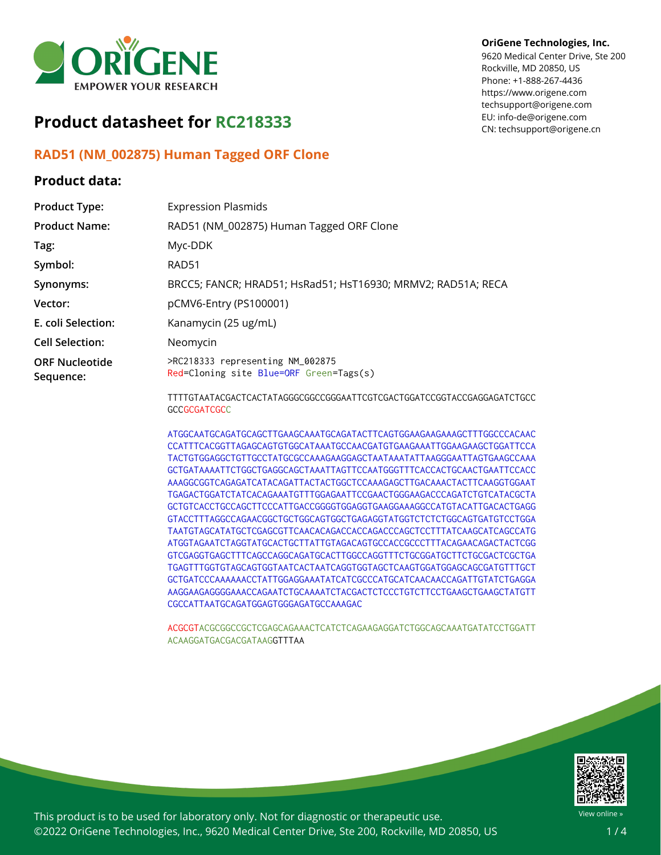

# **Product datasheet for RC218333**

## **RAD51 (NM\_002875) Human Tagged ORF Clone**

### **Product data:**

#### **OriGene Technologies, Inc.**

9620 Medical Center Drive, Ste 200 Rockville, MD 20850, US Phone: +1-888-267-4436 https://www.origene.com techsupport@origene.com EU: info-de@origene.com CN: techsupport@origene.cn

| <b>Product Type:</b>               | <b>Expression Plasmids</b>                                                                    |
|------------------------------------|-----------------------------------------------------------------------------------------------|
| <b>Product Name:</b>               | RAD51 (NM_002875) Human Tagged ORF Clone                                                      |
| Tag:                               | Myc-DDK                                                                                       |
| Symbol:                            | RAD51                                                                                         |
| Synonyms:                          | BRCC5; FANCR; HRAD51; HsRad51; HsT16930; MRMV2; RAD51A; RECA                                  |
| Vector:                            | pCMV6-Entry (PS100001)                                                                        |
| E. coli Selection:                 | Kanamycin (25 ug/mL)                                                                          |
| <b>Cell Selection:</b>             | Neomycin                                                                                      |
| <b>ORF Nucleotide</b><br>Sequence: | >RC218333 representing NM_002875<br>Red=Cloning site Blue=ORF Green=Tags(s)                   |
|                                    | TTTTGTAATACGACTCACTATAGGGCGGCCGGGAATTCGTCGACTGGATCCGGTACCGAGGAGATCTGCC<br><b>GCCGCGATCGCC</b> |

ATGGCAATGCAGATGCAGCTTGAAGCAAATGCAGATACTTCAGTGGAAGAAGAAAGCTTTGGCCCACAAC CCATTTCACGGTTAGAGCAGTGTGGCATAAATGCCAACGATGTGAAGAAATTGGAAGAAGCTGGATTCCA TACTGTGGAGGCTGTTGCCTATGCGCCAAAGAAGGAGCTAATAAATATTAAGGGAATTAGTGAAGCCAAA GCTGATAAAATTCTGGCTGAGGCAGCTAAATTAGTTCCAATGGGTTTCACCACTGCAACTGAATTCCACC AAAGGCGGTCAGAGATCATACAGATTACTACTGGCTCCAAAGAGCTTGACAAACTACTTCAAGGTGGAAT TGAGACTGGATCTATCACAGAAATGTTTGGAGAATTCCGAACTGGGAAGACCCAGATCTGTCATACGCTA GCTGTCACCTGCCAGCTTCCCATTGACCGGGGTGGAGGTGAAGGAAAGGCCATGTACATTGACACTGAGG GTACCTTTAGGCCAGAACGGCTGCTGGCAGTGGCTGAGAGGTATGGTCTCTCTGGCAGTGATGTCCTGGA TAATGTAGCATATGCTCGAGCGTTCAACACAGACCACCAGACCCAGCTCCTTTATCAAGCATCAGCCATG ATGGTAGAATCTAGGTATGCACTGCTTATTGTAGACAGTGCCACCGCCCTTTACAGAACAGACTACTCGG GTCGAGGTGAGCTTTCAGCCAGGCAGATGCACTTGGCCAGGTTTCTGCGGATGCTTCTGCGACTCGCTGA TGAGTTTGGTGTAGCAGTGGTAATCACTAATCAGGTGGTAGCTCAAGTGGATGGAGCAGCGATGTTTGCT GCTGATCCCAAAAAACCTATTGGAGGAAATATCATCGCCCATGCATCAACAACCAGATTGTATCTGAGGA AAGGAAGAGGGGAAACCAGAATCTGCAAAATCTACGACTCTCCCTGTCTTCCTGAAGCTGAAGCTATGTT CGCCATTAATGCAGATGGAGTGGGAGATGCCAAAGAC

ACGCGTACGCGGCCGCTCGAGCAGAAACTCATCTCAGAAGAGGATCTGGCAGCAAATGATATCCTGGATT ACAAGGATGACGACGATAAGGTTTAA



This product is to be used for laboratory only. Not for diagnostic or therapeutic use. ©2022 OriGene Technologies, Inc., 9620 Medical Center Drive, Ste 200, Rockville, MD 20850, US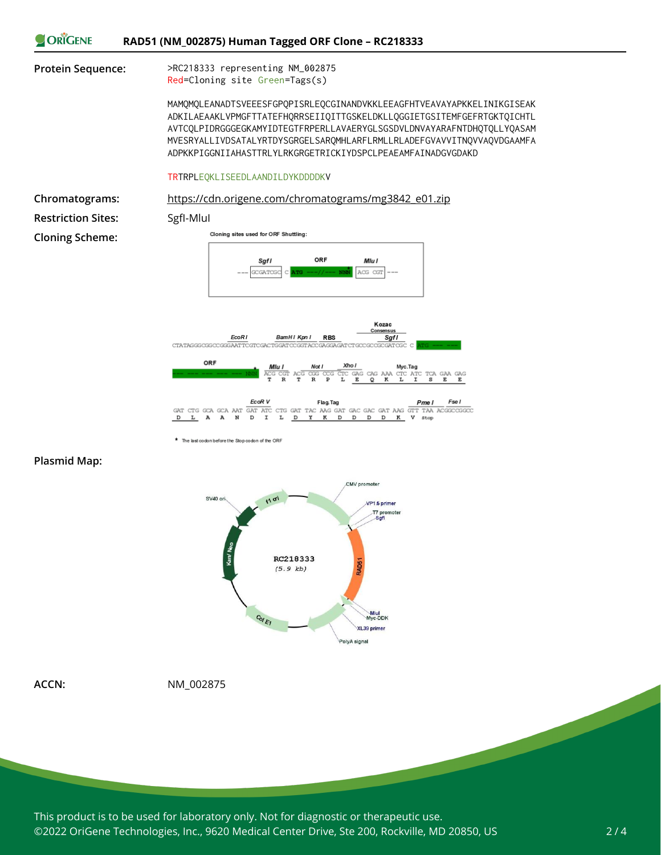



\* The last codon before the Stop codon of the ORF

#### **Plasmid Map:**



**ACCN:** NM\_002875

This product is to be used for laboratory only. Not for diagnostic or therapeutic use. ©2022 OriGene Technologies, Inc., 9620 Medical Center Drive, Ste 200, Rockville, MD 20850, US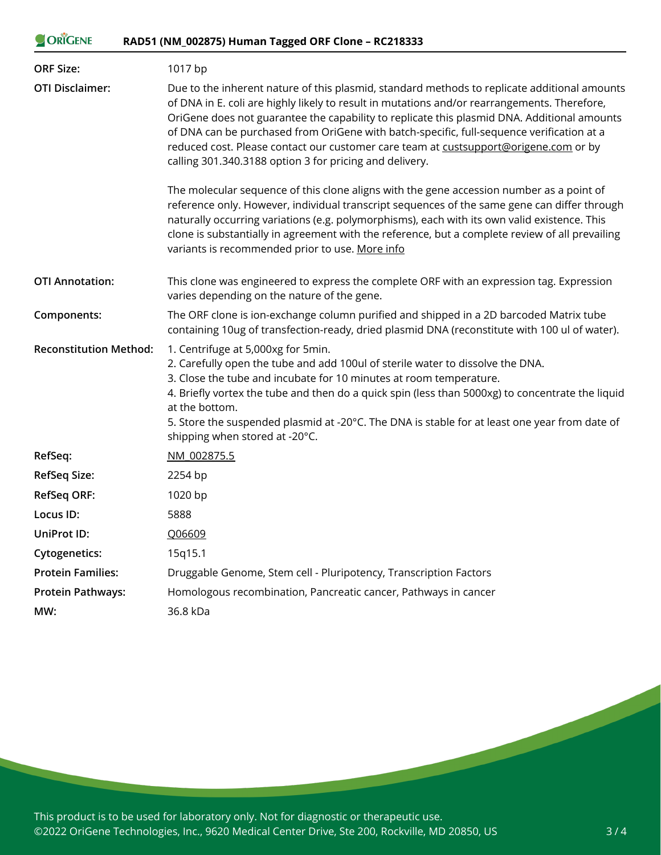| ORIGENE                       | RAD51 (NM_002875) Human Tagged ORF Clone - RC218333                                                                                                                                                                                                                                                                                                                                                                                                                                                                                         |
|-------------------------------|---------------------------------------------------------------------------------------------------------------------------------------------------------------------------------------------------------------------------------------------------------------------------------------------------------------------------------------------------------------------------------------------------------------------------------------------------------------------------------------------------------------------------------------------|
| <b>ORF Size:</b>              | 1017 bp                                                                                                                                                                                                                                                                                                                                                                                                                                                                                                                                     |
| <b>OTI Disclaimer:</b>        | Due to the inherent nature of this plasmid, standard methods to replicate additional amounts<br>of DNA in E. coli are highly likely to result in mutations and/or rearrangements. Therefore,<br>OriGene does not guarantee the capability to replicate this plasmid DNA. Additional amounts<br>of DNA can be purchased from OriGene with batch-specific, full-sequence verification at a<br>reduced cost. Please contact our customer care team at custsupport@origene.com or by<br>calling 301.340.3188 option 3 for pricing and delivery. |
|                               | The molecular sequence of this clone aligns with the gene accession number as a point of<br>reference only. However, individual transcript sequences of the same gene can differ through<br>naturally occurring variations (e.g. polymorphisms), each with its own valid existence. This<br>clone is substantially in agreement with the reference, but a complete review of all prevailing<br>variants is recommended prior to use. More info                                                                                              |
| <b>OTI Annotation:</b>        | This clone was engineered to express the complete ORF with an expression tag. Expression<br>varies depending on the nature of the gene.                                                                                                                                                                                                                                                                                                                                                                                                     |
| Components:                   | The ORF clone is ion-exchange column purified and shipped in a 2D barcoded Matrix tube<br>containing 10ug of transfection-ready, dried plasmid DNA (reconstitute with 100 ul of water).                                                                                                                                                                                                                                                                                                                                                     |
| <b>Reconstitution Method:</b> | 1. Centrifuge at 5,000xg for 5min.<br>2. Carefully open the tube and add 100ul of sterile water to dissolve the DNA.<br>3. Close the tube and incubate for 10 minutes at room temperature.<br>4. Briefly vortex the tube and then do a quick spin (less than 5000xg) to concentrate the liquid<br>at the bottom.<br>5. Store the suspended plasmid at -20°C. The DNA is stable for at least one year from date of<br>shipping when stored at -20°C.                                                                                         |
| RefSeq:                       | NM 002875.5                                                                                                                                                                                                                                                                                                                                                                                                                                                                                                                                 |
| <b>RefSeq Size:</b>           | 2254 bp                                                                                                                                                                                                                                                                                                                                                                                                                                                                                                                                     |
| <b>RefSeq ORF:</b>            | 1020 bp                                                                                                                                                                                                                                                                                                                                                                                                                                                                                                                                     |
| Locus ID:                     | 5888                                                                                                                                                                                                                                                                                                                                                                                                                                                                                                                                        |
| UniProt ID:                   | Q06609                                                                                                                                                                                                                                                                                                                                                                                                                                                                                                                                      |
| <b>Cytogenetics:</b>          | 15q15.1                                                                                                                                                                                                                                                                                                                                                                                                                                                                                                                                     |
| <b>Protein Families:</b>      | Druggable Genome, Stem cell - Pluripotency, Transcription Factors                                                                                                                                                                                                                                                                                                                                                                                                                                                                           |
| <b>Protein Pathways:</b>      | Homologous recombination, Pancreatic cancer, Pathways in cancer                                                                                                                                                                                                                                                                                                                                                                                                                                                                             |
| MW:                           | 36.8 kDa                                                                                                                                                                                                                                                                                                                                                                                                                                                                                                                                    |

This product is to be used for laboratory only. Not for diagnostic or therapeutic use. ©2022 OriGene Technologies, Inc., 9620 Medical Center Drive, Ste 200, Rockville, MD 20850, US